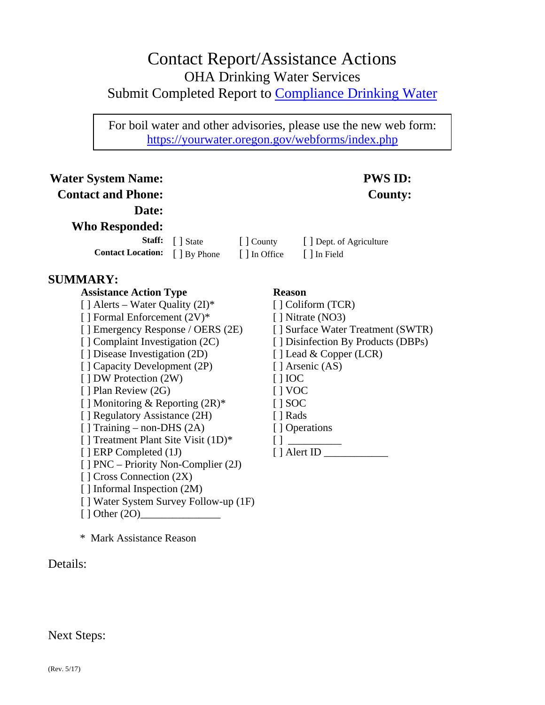# Contact Report/Assistance Actions OHA Drinking Water Services Submit Completed Report to Compliance Drinking Water

For boil water and other advisories, please use the new web form: https://yourwater.oregon.gov/webforms/index.php

### **Water System Name: PWS ID: Contact and Phone: County: Date: Who Responded: Staff:**  $\begin{bmatrix} \end{bmatrix}$  State  $\begin{bmatrix} \end{bmatrix}$  County  $\begin{bmatrix} \end{bmatrix}$  Dept. of Agriculture **Contact Location:**  $\begin{bmatrix} \end{bmatrix}$  By Phone  $\begin{bmatrix} \end{bmatrix}$  In Office  $\begin{bmatrix} \end{bmatrix}$  In Field **SUMMARY: Assistance Action Type Reason**  $[ ]$  Alerts – Water Quality  $(2I)^*$  [ ] Coliform (TCR) [ ] Formal Enforcement  $(2V)^*$  [ ] Nitrate (NO3) [ ] Emergency Response / OERS (2E) [ ] Surface Water Treatment (SWTR) [ ] Complaint Investigation (2C) [ ] Disinfection By Products (DBPs) [ ] Disease Investigation (2D) [ ] Lead & Copper (LCR) [ ] Capacity Development (2P) [ ] Arsenic (AS) [ ] DW Protection (2W) [ ] IOC [ ] Plan Review (2G) [ ] VOC  $\lceil \cdot \rceil$  Monitoring & Reporting  $(2R)^*$  [ ] SOC [ ] Regulatory Assistance (2H) [ ] Rads [ ] Training – non-DHS (2A) [ ] Operations [ ] Treatment Plant Site Visit (1D)\* [ ] \_\_\_\_\_\_\_\_\_\_ [ ] ERP Completed (1J) [ ] Alert ID \_\_\_\_\_\_\_\_\_\_\_\_ [ ] PNC – Priority Non-Complier (2J) [ ] Cross Connection (2X) [ ] Informal Inspection (2M) [ ] Water System Survey Follow-up (1F)  $\lceil$   $\rfloor$  Other (2O)

\* Mark Assistance Reason

#### Details:

#### Next Steps: